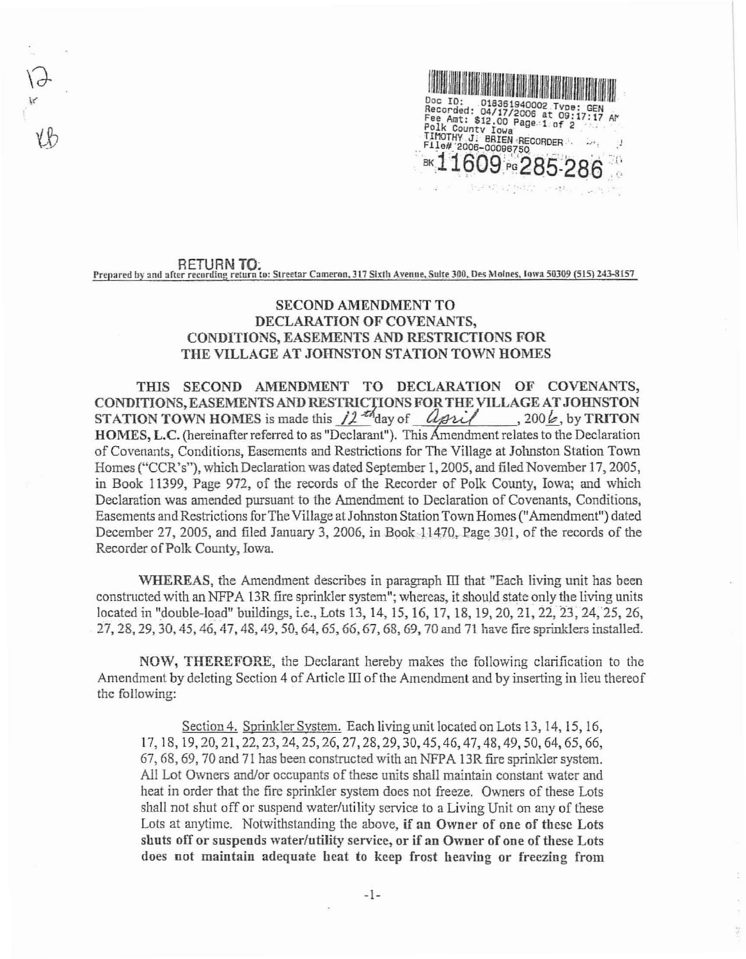

## RETURN TO: Prepared by and after recording return to: Streetar Cameron, 317 Sixth Avenue, Suite 300, Des Moines, Jowa 50309 (515) 243-8157

## **SECOND AMENDMENT TO** DECLARATION OF COVENANTS, CONDITIONS, EASEMENTS AND RESTRICTIONS FOR THE VILLAGE AT JOHNSTON STATION TOWN HOMES

THIS SECOND AMENDMENT TO DECLARATION OF COVENANTS, CONDITIONS, EASEMENTS AND RESTRICTIONS FOR THE VILLAGE AT JOHNSTON HOMES, L.C. (hereinafter referred to as "Declarant"). This Amendment relates to the Declaration of Covenants, Conditions, Easements and Restrictions for The Village at Johnston Station Town Homes ("CCR's"), which Declaration was dated September 1, 2005, and filed November 17, 2005, in Book 11399, Page 972, of the records of the Recorder of Polk County, Iowa; and which Declaration was amended pursuant to the Amendment to Declaration of Covenants, Conditions, Easements and Restrictions for The Village at Johnston Station Town Homes ("Amendment") dated December 27, 2005, and filed January 3, 2006, in Book 11470, Page 301, of the records of the Recorder of Polk County, Iowa.

WHEREAS, the Amendment describes in paragraph III that "Each living unit has been constructed with an NFPA 13R fire sprinkler system"; whereas, it should state only the living units located in "double-load" buildings, i.e., Lots 13, 14, 15, 16, 17, 18, 19, 20, 21, 22, 23, 24, 25, 26, 27, 28, 29, 30, 45, 46, 47, 48, 49, 50, 64, 65, 66, 67, 68, 69, 70 and 71 have fire sprinklers installed.

NOW, THEREFORE, the Declarant hereby makes the following clarification to the Amendment by deleting Section 4 of Article III of the Amendment and by inserting in lieu thereof the following:

Section 4. Sprinkler System. Each living unit located on Lots 13, 14, 15, 16, 17, 18, 19, 20, 21, 22, 23, 24, 25, 26, 27, 28, 29, 30, 45, 46, 47, 48, 49, 50, 64, 65, 66, 67, 68, 69, 70 and 71 has been constructed with an NFPA 13R fire sprinkler system. All Lot Owners and/or occupants of these units shall maintain constant water and heat in order that the fire sprinkler system does not freeze. Owners of these Lots shall not shut off or suspend water/utility service to a Living Unit on any of these Lots at anytime. Notwithstanding the above, if an Owner of one of these Lots shuts off or suspends water/utility service, or if an Owner of one of these Lots does not maintain adequate heat to keep frost heaving or freezing from

 $\frac{1}{\sqrt{2}}$